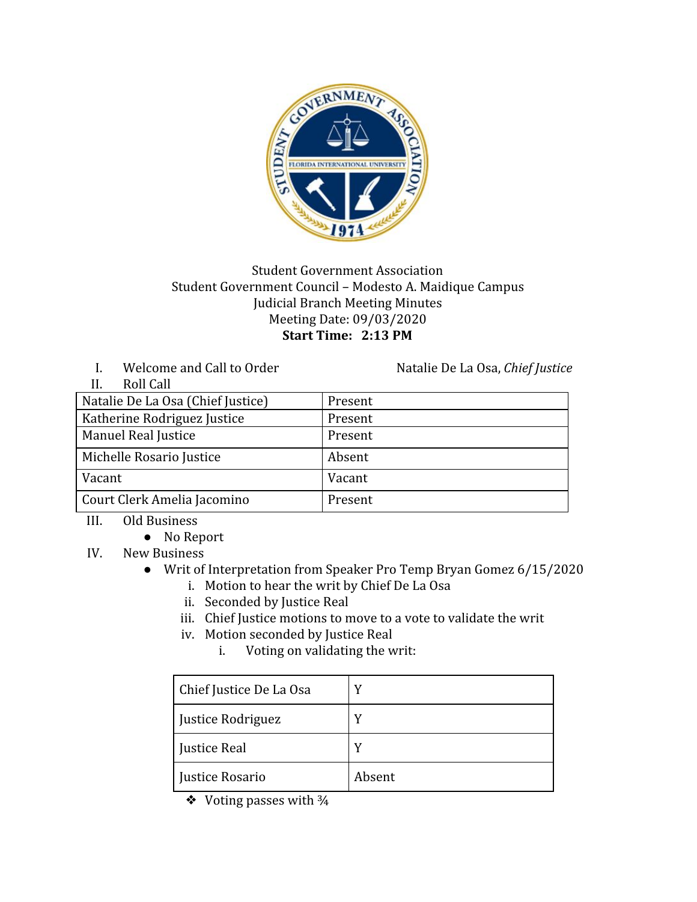

## Student Government Association Student Government Council – Modesto A. Maidique Campus Judicial Branch Meeting Minutes Meeting Date: 09/03/2020 **Start Time: 2:13 PM**

I. Welcome and Call to Order Natalie De La Osa, *Chief Justice* 

 $II$ . Roll Call

| .<br><i>iwii Gall</i>             |         |
|-----------------------------------|---------|
| Natalie De La Osa (Chief Justice) | Present |
| Katherine Rodriguez Justice       | Present |
| Manuel Real Justice               | Present |
| Michelle Rosario Justice          | Absent  |
| Vacant                            | Vacant  |
| Court Clerk Amelia Jacomino       | Present |

- III. Old Business
	- No Report
- IV. New Business
	- Writ of Interpretation from Speaker Pro Temp Bryan Gomez 6/15/2020
		- i. Motion to hear the writ by Chief De La Osa
		- ii. Seconded by Justice Real
		- iii. Chief Justice motions to move to a vote to validate the writ
		- iv. Motion seconded by Justice Real
			- i. Voting on validating the writ:

| Chief Justice De La Osa | v      |
|-------------------------|--------|
| Justice Rodriguez       | v      |
| Justice Real            |        |
| Justice Rosario         | Absent |

❖ Voting passes with ¾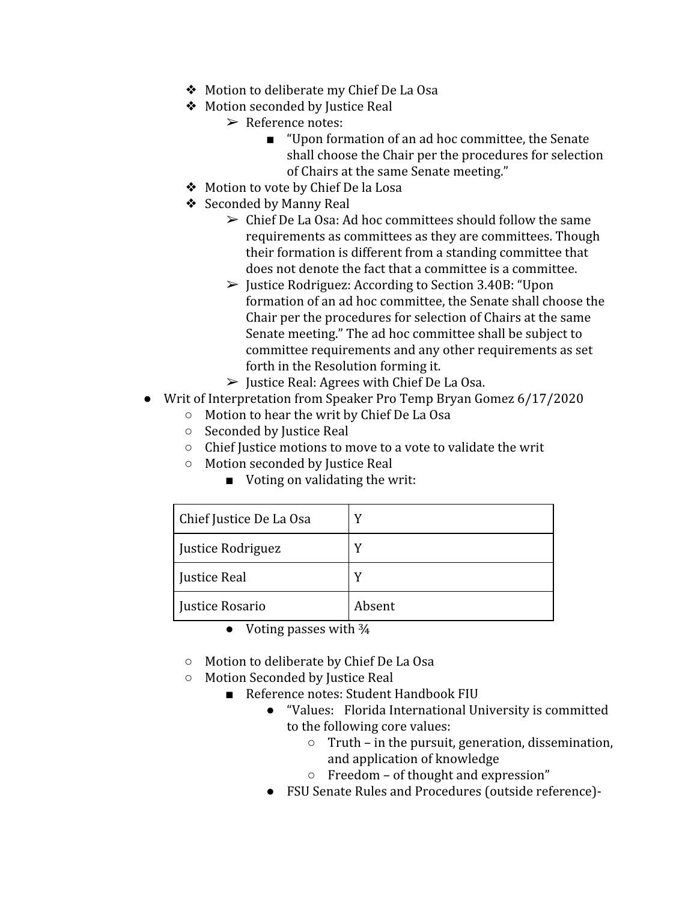- ❖ Motion to deliberate my Chief De La Osa
- ❖ Motion seconded by Justice Real
	- ➢ Reference notes:
		- "Upon formation of an ad hoc committee, the Senate shall choose the Chair per the procedures for selection of Chairs at the same Senate meeting."
- ❖ Motion to vote by Chief De la Losa
- ❖ Seconded by Manny Real
	- $\geq$  Chief De La Osa: Ad hoc committees should follow the same requirements as committees as they are committees. Though their formation is different from a standing committee that does not denote the fact that a committee is a committee.
	- $\triangleright$  Justice Rodriguez: According to Section 3.40B: "Upon formation of an ad hoc committee, the Senate shall choose the Chair per the procedures for selection of Chairs at the same Senate meeting." The ad hoc committee shall be subject to committee requirements and any other requirements as set forth in the Resolution forming it.
	- $\triangleright$  Justice Real: Agrees with Chief De La Osa.
- Writ of Interpretation from Speaker Pro Temp Bryan Gomez 6/17/2020
	- Motion to hear the writ by Chief De La Osa
	- Seconded by Justice Real
	- Chief Justice motions to move to a vote to validate the writ
	- Motion seconded by Justice Real
		- Voting on validating the writ:

| Chief Justice De La Osa |        |
|-------------------------|--------|
| Justice Rodriguez       |        |
| Justice Real            |        |
| Justice Rosario         | Absent |

- Voting passes with  $\frac{3}{4}$
- Motion to deliberate by Chief De La Osa
- Motion Seconded by Justice Real
	- Reference notes: Student Handbook FIU
		- "Values: Florida International University is committed to the following core values:
			- Truth in the pursuit, generation, dissemination, and application of knowledge
			- Freedom of thought and expression"
		- FSU Senate Rules and Procedures (outside reference)-